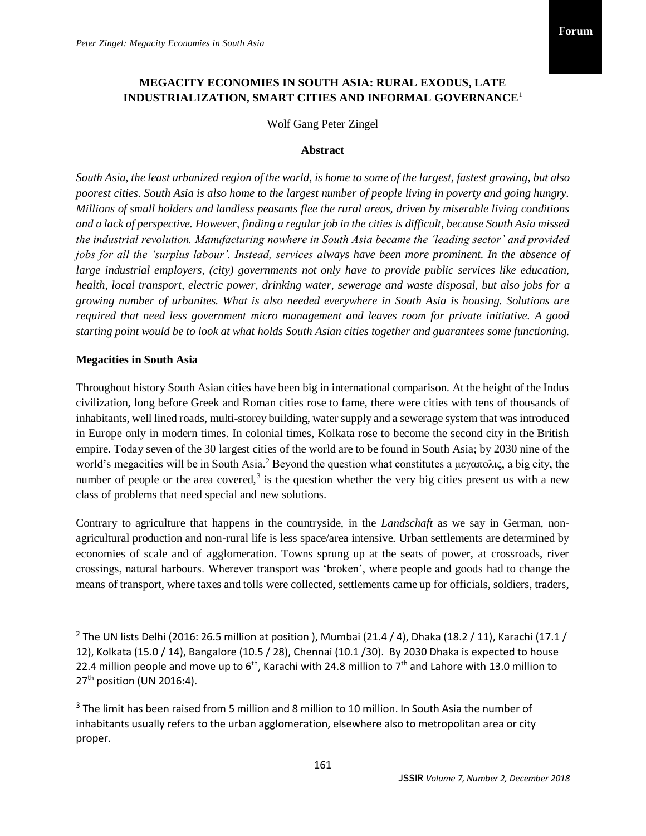# **MEGACITY ECONOMIES IN SOUTH ASIA: RURAL EXODUS, LATE INDUSTRIALIZATION, SMART CITIES AND INFORMAL GOVERNANCE**<sup>1</sup>

Wolf Gang Peter Zingel

#### **Abstract**

*South Asia, the least urbanized region of the world, is home to some of the largest, fastest growing, but also poorest cities. South Asia is also home to the largest number of people living in poverty and going hungry. Millions of small holders and landless peasants flee the rural areas, driven by miserable living conditions and a lack of perspective. However, finding a regular job in the cities is difficult, because South Asia missed the industrial revolution. Manufacturing nowhere in South Asia became the 'leading sector' and provided jobs for all the 'surplus labour'. Instead, services always have been more prominent. In the absence of large industrial employers, (city) governments not only have to provide public services like education, health, local transport, electric power, drinking water, sewerage and waste disposal, but also jobs for a growing number of urbanites. What is also needed everywhere in South Asia is housing. Solutions are required that need less government micro management and leaves room for private initiative. A good starting point would be to look at what holds South Asian cities together and guarantees some functioning.*

### **Megacities in South Asia**

 $\overline{a}$ 

Throughout history South Asian cities have been big in international comparison. At the height of the Indus civilization, long before Greek and Roman cities rose to fame, there were cities with tens of thousands of inhabitants, well lined roads, multi-storey building, water supply and a sewerage system that was introduced in Europe only in modern times. In colonial times, Kolkata rose to become the second city in the British empire. Today seven of the 30 largest cities of the world are to be found in South Asia; by 2030 nine of the world's megacities will be in South Asia.<sup>2</sup> Beyond the question what constitutes a μεγαπολις, a big city, the number of people or the area covered,<sup>3</sup> is the question whether the very big cities present us with a new class of problems that need special and new solutions.

Contrary to agriculture that happens in the countryside, in the *Landschaft* as we say in German, nonagricultural production and non-rural life is less space/area intensive. Urban settlements are determined by economies of scale and of agglomeration. Towns sprung up at the seats of power, at crossroads, river crossings, natural harbours. Wherever transport was 'broken', where people and goods had to change the means of transport, where taxes and tolls were collected, settlements came up for officials, soldiers, traders,

<sup>&</sup>lt;sup>2</sup> The UN lists Delhi (2016: 26.5 million at position ), Mumbai (21.4 / 4), Dhaka (18.2 / 11), Karachi (17.1 / 12), Kolkata (15.0 / 14), Bangalore (10.5 / 28), Chennai (10.1 /30). By 2030 Dhaka is expected to house 22.4 million people and move up to  $6<sup>th</sup>$ , Karachi with 24.8 million to 7<sup>th</sup> and Lahore with 13.0 million to  $27<sup>th</sup>$  position (UN 2016:4).

 $3$  The limit has been raised from 5 million and 8 million to 10 million. In South Asia the number of inhabitants usually refers to the urban agglomeration, elsewhere also to metropolitan area or city proper.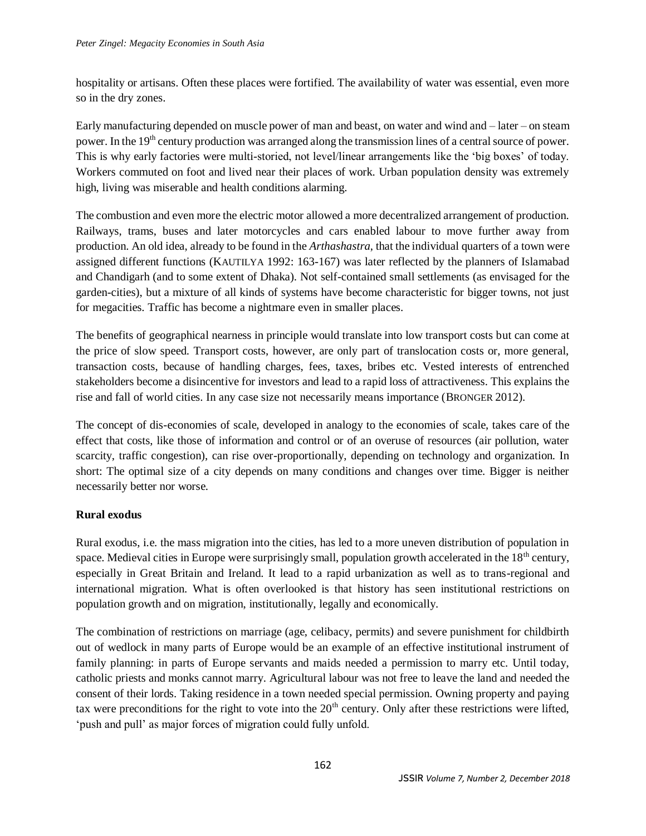hospitality or artisans. Often these places were fortified. The availability of water was essential, even more so in the dry zones.

Early manufacturing depended on muscle power of man and beast, on water and wind and – later – on steam power. In the 19<sup>th</sup> century production was arranged along the transmission lines of a central source of power. This is why early factories were multi-storied, not level/linear arrangements like the 'big boxes' of today. Workers commuted on foot and lived near their places of work. Urban population density was extremely high, living was miserable and health conditions alarming.

The combustion and even more the electric motor allowed a more decentralized arrangement of production. Railways, trams, buses and later motorcycles and cars enabled labour to move further away from production. An old idea, already to be found in the *Arthashastra*, that the individual quarters of a town were assigned different functions (KAUTILYA 1992: 163-167) was later reflected by the planners of Islamabad and Chandigarh (and to some extent of Dhaka). Not self-contained small settlements (as envisaged for the garden-cities), but a mixture of all kinds of systems have become characteristic for bigger towns, not just for megacities. Traffic has become a nightmare even in smaller places.

The benefits of geographical nearness in principle would translate into low transport costs but can come at the price of slow speed. Transport costs, however, are only part of translocation costs or, more general, transaction costs, because of handling charges, fees, taxes, bribes etc. Vested interests of entrenched stakeholders become a disincentive for investors and lead to a rapid loss of attractiveness. This explains the rise and fall of world cities. In any case size not necessarily means importance (BRONGER 2012).

The concept of dis-economies of scale, developed in analogy to the economies of scale, takes care of the effect that costs, like those of information and control or of an overuse of resources (air pollution, water scarcity, traffic congestion), can rise over-proportionally, depending on technology and organization. In short: The optimal size of a city depends on many conditions and changes over time. Bigger is neither necessarily better nor worse.

## **Rural exodus**

Rural exodus, i.e. the mass migration into the cities, has led to a more uneven distribution of population in space. Medieval cities in Europe were surprisingly small, population growth accelerated in the 18<sup>th</sup> century, especially in Great Britain and Ireland. It lead to a rapid urbanization as well as to trans-regional and international migration. What is often overlooked is that history has seen institutional restrictions on population growth and on migration, institutionally, legally and economically.

The combination of restrictions on marriage (age, celibacy, permits) and severe punishment for childbirth out of wedlock in many parts of Europe would be an example of an effective institutional instrument of family planning: in parts of Europe servants and maids needed a permission to marry etc. Until today, catholic priests and monks cannot marry. Agricultural labour was not free to leave the land and needed the consent of their lords. Taking residence in a town needed special permission. Owning property and paying tax were preconditions for the right to vote into the  $20<sup>th</sup>$  century. Only after these restrictions were lifted, 'push and pull' as major forces of migration could fully unfold.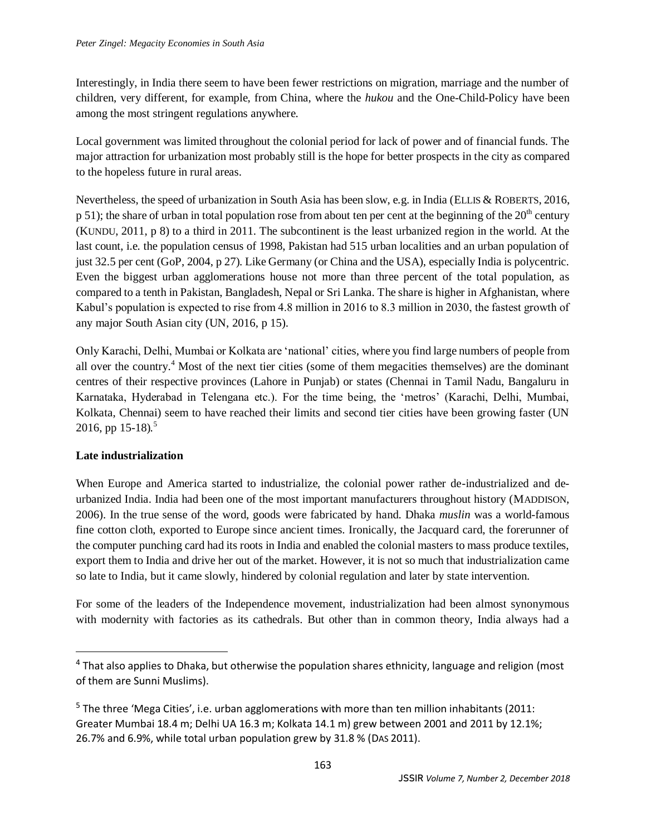Interestingly, in India there seem to have been fewer restrictions on migration, marriage and the number of children, very different, for example, from China, where the *hukou* and the One-Child-Policy have been among the most stringent regulations anywhere.

Local government was limited throughout the colonial period for lack of power and of financial funds. The major attraction for urbanization most probably still is the hope for better prospects in the city as compared to the hopeless future in rural areas.

Nevertheless, the speed of urbanization in South Asia has been slow, e.g. in India (ELLIS & ROBERTS, 2016,  $p$  51); the share of urban in total population rose from about ten per cent at the beginning of the  $20<sup>th</sup>$  century (KUNDU, 2011, p 8) to a third in 2011. The subcontinent is the least urbanized region in the world. At the last count, i.e. the population census of 1998, Pakistan had 515 urban localities and an urban population of just 32.5 per cent (GoP, 2004, p 27). Like Germany (or China and the USA), especially India is polycentric. Even the biggest urban agglomerations house not more than three percent of the total population, as compared to a tenth in Pakistan, Bangladesh, Nepal or Sri Lanka. The share is higher in Afghanistan, where Kabul's population is expected to rise from 4.8 million in 2016 to 8.3 million in 2030, the fastest growth of any major South Asian city (UN, 2016, p 15).

Only Karachi, Delhi, Mumbai or Kolkata are 'national' cities, where you find large numbers of people from all over the country.<sup>4</sup> Most of the next tier cities (some of them megacities themselves) are the dominant centres of their respective provinces (Lahore in Punjab) or states (Chennai in Tamil Nadu, Bangaluru in Karnataka, Hyderabad in Telengana etc.). For the time being, the 'metros' (Karachi, Delhi, Mumbai, Kolkata, Chennai) seem to have reached their limits and second tier cities have been growing faster (UN 2016, pp 15-18)*.* 5

# **Late industrialization**

 $\overline{a}$ 

When Europe and America started to industrialize, the colonial power rather de-industrialized and deurbanized India. India had been one of the most important manufacturers throughout history (MADDISON, 2006). In the true sense of the word, goods were fabricated by hand. Dhaka *muslin* was a world-famous fine cotton cloth, exported to Europe since ancient times. Ironically, the Jacquard card, the forerunner of the computer punching card had its roots in India and enabled the colonial masters to mass produce textiles, export them to India and drive her out of the market. However, it is not so much that industrialization came so late to India, but it came slowly, hindered by colonial regulation and later by state intervention.

For some of the leaders of the Independence movement, industrialization had been almost synonymous with modernity with factories as its cathedrals. But other than in common theory, India always had a

<sup>&</sup>lt;sup>4</sup> That also applies to Dhaka, but otherwise the population shares ethnicity, language and religion (most of them are Sunni Muslims).

<sup>&</sup>lt;sup>5</sup> The three 'Mega Cities', i.e. urban agglomerations with more than ten million inhabitants (2011: Greater Mumbai 18.4 m; Delhi UA 16.3 m; Kolkata 14.1 m) grew between 2001 and 2011 by 12.1%; 26.7% and 6.9%, while total urban population grew by 31.8 % (DAS 2011).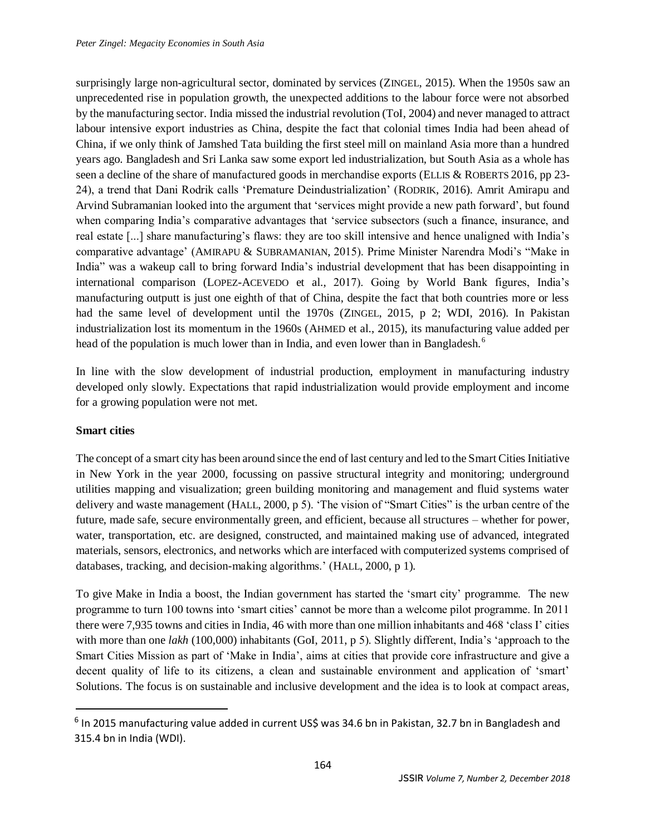surprisingly large non-agricultural sector, dominated by services (ZINGEL, 2015). When the 1950s saw an unprecedented rise in population growth, the unexpected additions to the labour force were not absorbed by the manufacturing sector. India missed the industrial revolution (ToI, 2004) and never managed to attract labour intensive export industries as China, despite the fact that colonial times India had been ahead of China, if we only think of Jamshed Tata building the first steel mill on mainland Asia more than a hundred years ago. Bangladesh and Sri Lanka saw some export led industrialization, but South Asia as a whole has seen a decline of the share of manufactured goods in merchandise exports (ELLIS & ROBERTS 2016, pp 23-24), a trend that Dani Rodrik calls 'Premature Deindustrialization' (RODRIK, 2016). Amrit Amirapu and Arvind Subramanian looked into the argument that 'services might provide a new path forward', but found when comparing India's comparative advantages that 'service subsectors (such a finance, insurance, and real estate [...] share manufacturing's flaws: they are too skill intensive and hence unaligned with India's comparative advantage' (AMIRAPU & SUBRAMANIAN, 2015). Prime Minister Narendra Modi's "Make in India" was a wakeup call to bring forward India's industrial development that has been disappointing in international comparison (LOPEZ-ACEVEDO et al., 2017). Going by World Bank figures, India's manufacturing outputt is just one eighth of that of China, despite the fact that both countries more or less had the same level of development until the 1970s (ZINGEL, 2015, p 2; WDI, 2016). In Pakistan industrialization lost its momentum in the 1960s (AHMED et al., 2015), its manufacturing value added per head of the population is much lower than in India, and even lower than in Bangladesh.<sup>6</sup>

In line with the slow development of industrial production, employment in manufacturing industry developed only slowly. Expectations that rapid industrialization would provide employment and income for a growing population were not met.

## **Smart cities**

 $\overline{\phantom{a}}$ 

The concept of a smart city has been around since the end of last century and led to the Smart Cities Initiative in New York in the year 2000, focussing on passive structural integrity and monitoring; underground utilities mapping and visualization; green building monitoring and management and fluid systems water delivery and waste management (HALL, 2000, p 5). 'The vision of "Smart Cities" is the urban centre of the future, made safe, secure environmentally green, and efficient, because all structures – whether for power, water, transportation, etc. are designed, constructed, and maintained making use of advanced, integrated materials, sensors, electronics, and networks which are interfaced with computerized systems comprised of databases, tracking, and decision-making algorithms.' (HALL, 2000, p 1).

To give Make in India a boost, the Indian government has started the 'smart city' programme. The new programme to turn 100 towns into 'smart cities' cannot be more than a welcome pilot programme. In 2011 there were 7,935 towns and cities in India, 46 with more than one million inhabitants and 468 'class I' cities with more than one *lakh* (100,000) inhabitants (GoI, 2011, p 5). Slightly different, India's 'approach to the Smart Cities Mission as part of 'Make in India', aims at cities that provide core infrastructure and give a decent quality of life to its citizens, a clean and sustainable environment and application of 'smart' Solutions. The focus is on sustainable and inclusive development and the idea is to look at compact areas,

<sup>&</sup>lt;sup>6</sup> In 2015 manufacturing value added in current US\$ was 34.6 bn in Pakistan, 32.7 bn in Bangladesh and 315.4 bn in India (WDI).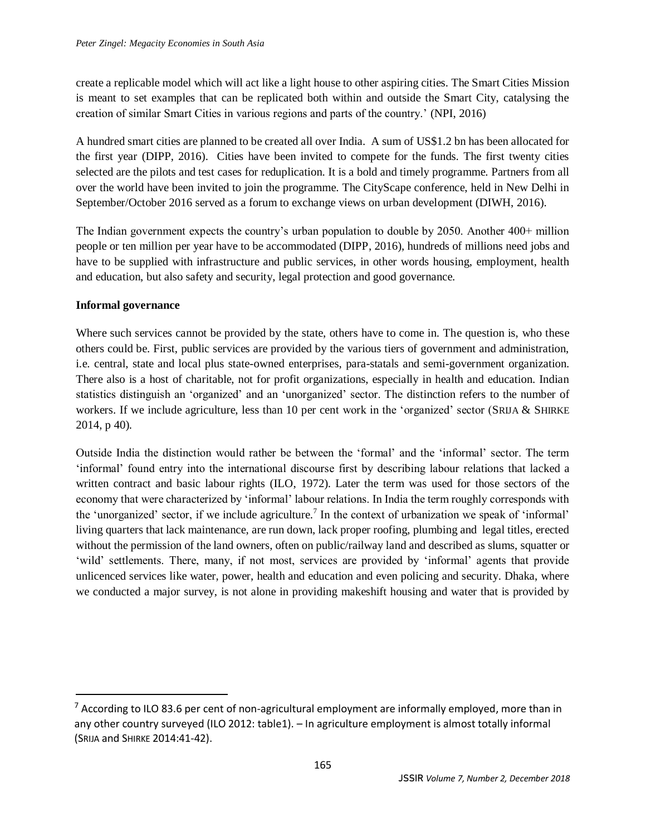create a replicable model which will act like a light house to other aspiring cities. The Smart Cities Mission is meant to set examples that can be replicated both within and outside the Smart City, catalysing the creation of similar Smart Cities in various regions and parts of the country.' (NPI, 2016)

A hundred smart cities are planned to be created all over India. A sum of US\$1.2 bn has been allocated for the first year (DIPP, 2016). Cities have been invited to compete for the funds. The first twenty cities selected are the pilots and test cases for reduplication. It is a bold and timely programme. Partners from all over the world have been invited to join the programme. The CityScape conference, held in New Delhi in September/October 2016 served as a forum to exchange views on urban development (DIWH, 2016).

The Indian government expects the country's urban population to double by 2050. Another 400+ million people or ten million per year have to be accommodated (DIPP, 2016), hundreds of millions need jobs and have to be supplied with infrastructure and public services, in other words housing, employment, health and education, but also safety and security, legal protection and good governance.

## **Informal governance**

 $\overline{a}$ 

Where such services cannot be provided by the state, others have to come in. The question is, who these others could be. First, public services are provided by the various tiers of government and administration, i.e. central, state and local plus state-owned enterprises, para-statals and semi-government organization. There also is a host of charitable, not for profit organizations, especially in health and education. Indian statistics distinguish an 'organized' and an 'unorganized' sector. The distinction refers to the number of workers. If we include agriculture, less than 10 per cent work in the 'organized' sector (SRIJA & SHIRKE 2014, p 40).

Outside India the distinction would rather be between the 'formal' and the 'informal' sector. The term 'informal' found entry into the international discourse first by describing labour relations that lacked a written contract and basic labour rights (ILO, 1972). Later the term was used for those sectors of the economy that were characterized by 'informal' labour relations. In India the term roughly corresponds with the 'unorganized' sector, if we include agriculture.<sup>7</sup> In the context of urbanization we speak of 'informal' living quarters that lack maintenance, are run down, lack proper roofing, plumbing and legal titles, erected without the permission of the land owners, often on public/railway land and described as slums, squatter or 'wild' settlements. There, many, if not most, services are provided by 'informal' agents that provide unlicenced services like water, power, health and education and even policing and security. Dhaka, where we conducted a major survey, is not alone in providing makeshift housing and water that is provided by

 $7$  According to ILO 83.6 per cent of non-agricultural employment are informally employed, more than in any other country surveyed (ILO 2012: table1). – In agriculture employment is almost totally informal (SRIJA and SHIRKE 2014:41-42).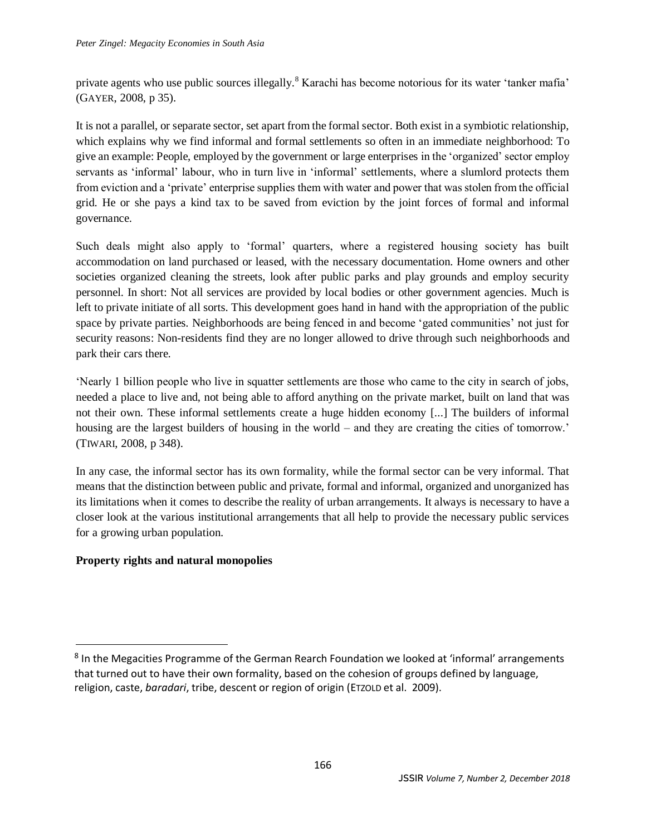private agents who use public sources illegally.<sup>8</sup> Karachi has become notorious for its water 'tanker mafia' (GAYER, 2008, p 35).

It is not a parallel, or separate sector, set apart from the formal sector. Both exist in a symbiotic relationship, which explains why we find informal and formal settlements so often in an immediate neighborhood: To give an example: People, employed by the government or large enterprises in the 'organized' sector employ servants as 'informal' labour, who in turn live in 'informal' settlements, where a slumlord protects them from eviction and a 'private' enterprise supplies them with water and power that was stolen from the official grid. He or she pays a kind tax to be saved from eviction by the joint forces of formal and informal governance.

Such deals might also apply to 'formal' quarters, where a registered housing society has built accommodation on land purchased or leased, with the necessary documentation. Home owners and other societies organized cleaning the streets, look after public parks and play grounds and employ security personnel. In short: Not all services are provided by local bodies or other government agencies. Much is left to private initiate of all sorts. This development goes hand in hand with the appropriation of the public space by private parties. Neighborhoods are being fenced in and become 'gated communities' not just for security reasons: Non-residents find they are no longer allowed to drive through such neighborhoods and park their cars there.

'Nearly 1 billion people who live in squatter settlements are those who came to the city in search of jobs, needed a place to live and, not being able to afford anything on the private market, built on land that was not their own. These informal settlements create a huge hidden economy [...] The builders of informal housing are the largest builders of housing in the world – and they are creating the cities of tomorrow.' (TIWARI, 2008, p 348).

In any case, the informal sector has its own formality, while the formal sector can be very informal. That means that the distinction between public and private, formal and informal, organized and unorganized has its limitations when it comes to describe the reality of urban arrangements. It always is necessary to have a closer look at the various institutional arrangements that all help to provide the necessary public services for a growing urban population.

# **Property rights and natural monopolies**

 $\overline{a}$ 

<sup>&</sup>lt;sup>8</sup> In the Megacities Programme of the German Rearch Foundation we looked at 'informal' arrangements that turned out to have their own formality, based on the cohesion of groups defined by language, religion, caste, *baradari*, tribe, descent or region of origin (ETZOLD et al. 2009).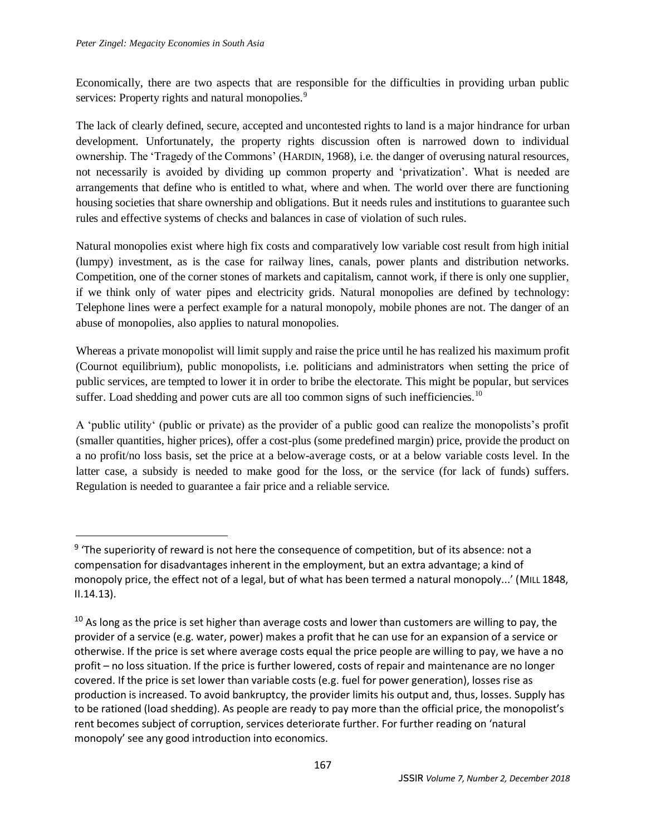$\overline{\phantom{a}}$ 

Economically, there are two aspects that are responsible for the difficulties in providing urban public services: Property rights and natural monopolies.<sup>9</sup>

The lack of clearly defined, secure, accepted and uncontested rights to land is a major hindrance for urban development. Unfortunately, the property rights discussion often is narrowed down to individual ownership. The 'Tragedy of the Commons' (HARDIN, 1968), i.e. the danger of overusing natural resources, not necessarily is avoided by dividing up common property and 'privatization'. What is needed are arrangements that define who is entitled to what, where and when. The world over there are functioning housing societies that share ownership and obligations. But it needs rules and institutions to guarantee such rules and effective systems of checks and balances in case of violation of such rules.

Natural monopolies exist where high fix costs and comparatively low variable cost result from high initial (lumpy) investment, as is the case for railway lines, canals, power plants and distribution networks. Competition, one of the corner stones of markets and capitalism, cannot work, if there is only one supplier, if we think only of water pipes and electricity grids. Natural monopolies are defined by technology: Telephone lines were a perfect example for a natural monopoly, mobile phones are not. The danger of an abuse of monopolies, also applies to natural monopolies.

Whereas a private monopolist will limit supply and raise the price until he has realized his maximum profit (Cournot equilibrium), public monopolists, i.e. politicians and administrators when setting the price of public services, are tempted to lower it in order to bribe the electorate. This might be popular, but services suffer. Load shedding and power cuts are all too common signs of such inefficiencies.<sup>10</sup>

A 'public utility' (public or private) as the provider of a public good can realize the monopolists's profit (smaller quantities, higher prices), offer a cost-plus (some predefined margin) price, provide the product on a no profit/no loss basis, set the price at a below-average costs, or at a below variable costs level. In the latter case, a subsidy is needed to make good for the loss, or the service (for lack of funds) suffers. Regulation is needed to guarantee a fair price and a reliable service.

<sup>&</sup>lt;sup>9</sup> 'The superiority of reward is not here the consequence of competition, but of its absence: not a compensation for disadvantages inherent in the employment, but an extra advantage; a kind of monopoly price, the effect not of a legal, but of what has been termed a natural monopoly...' (MILL 1848, II.14.13).

 $10$  As long as the price is set higher than average costs and lower than customers are willing to pay, the provider of a service (e.g. water, power) makes a profit that he can use for an expansion of a service or otherwise. If the price is set where average costs equal the price people are willing to pay, we have a no profit – no loss situation. If the price is further lowered, costs of repair and maintenance are no longer covered. If the price is set lower than variable costs (e.g. fuel for power generation), losses rise as production is increased. To avoid bankruptcy, the provider limits his output and, thus, losses. Supply has to be rationed (load shedding). As people are ready to pay more than the official price, the monopolist's rent becomes subject of corruption, services deteriorate further. For further reading on 'natural monopoly' see any good introduction into economics.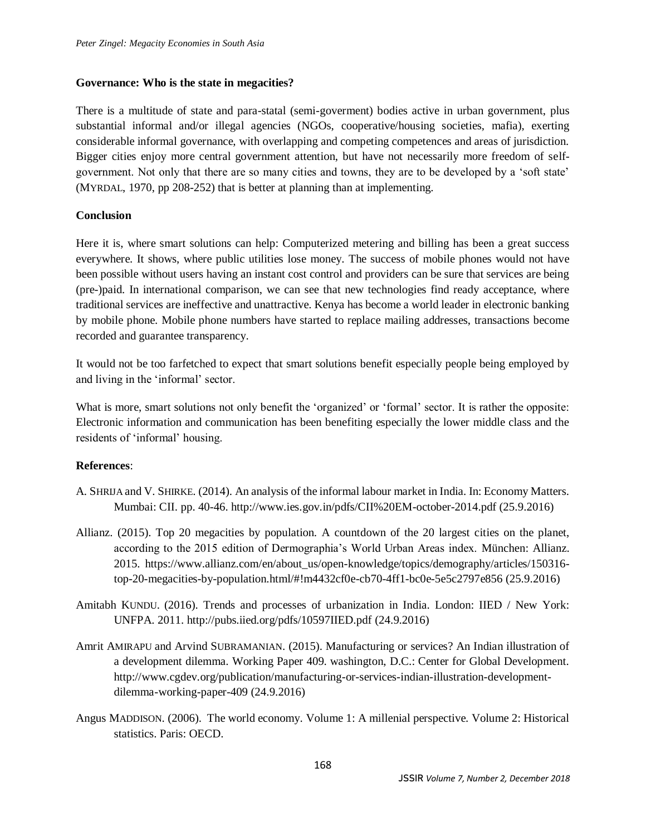### **Governance: Who is the state in megacities?**

There is a multitude of state and para-statal (semi-goverment) bodies active in urban government, plus substantial informal and/or illegal agencies (NGOs, cooperative/housing societies, mafia), exerting considerable informal governance, with overlapping and competing competences and areas of jurisdiction. Bigger cities enjoy more central government attention, but have not necessarily more freedom of selfgovernment. Not only that there are so many cities and towns, they are to be developed by a 'soft state' (MYRDAL, 1970, pp 208-252) that is better at planning than at implementing.

### **Conclusion**

Here it is, where smart solutions can help: Computerized metering and billing has been a great success everywhere. It shows, where public utilities lose money. The success of mobile phones would not have been possible without users having an instant cost control and providers can be sure that services are being (pre-)paid. In international comparison, we can see that new technologies find ready acceptance, where traditional services are ineffective and unattractive. Kenya has become a world leader in electronic banking by mobile phone. Mobile phone numbers have started to replace mailing addresses, transactions become recorded and guarantee transparency.

It would not be too farfetched to expect that smart solutions benefit especially people being employed by and living in the 'informal' sector.

What is more, smart solutions not only benefit the 'organized' or 'formal' sector. It is rather the opposite: Electronic information and communication has been benefiting especially the lower middle class and the residents of 'informal' housing.

## **References**:

- A. SHRIJA and V. SHIRKE. (2014). An analysis of the informal labour market in India. In: Economy Matters. Mumbai: CII. pp. 40-46. http://www.ies.gov.in/pdfs/CII%20EM-october-2014.pdf (25.9.2016)
- Allianz. (2015). Top 20 megacities by population. A countdown of the 20 largest cities on the planet, according to the 2015 edition of Dermographia's World Urban Areas index. München: Allianz. 2015. https://www.allianz.com/en/about\_us/open-knowledge/topics/demography/articles/150316 top-20-megacities-by-population.html/#!m4432cf0e-cb70-4ff1-bc0e-5e5c2797e856 (25.9.2016)
- Amitabh KUNDU. (2016). Trends and processes of urbanization in India. London: IIED / New York: UNFPA. 2011. http://pubs.iied.org/pdfs/10597IIED.pdf (24.9.2016)
- Amrit AMIRAPU and Arvind SUBRAMANIAN. (2015). Manufacturing or services? An Indian illustration of a development dilemma. Working Paper 409. washington, D.C.: Center for Global Development. http://www.cgdev.org/publication/manufacturing-or-services-indian-illustration-developmentdilemma-working-paper-409 (24.9.2016)
- Angus MADDISON. (2006). The world economy. Volume 1: A millenial perspective. Volume 2: Historical statistics. Paris: OECD.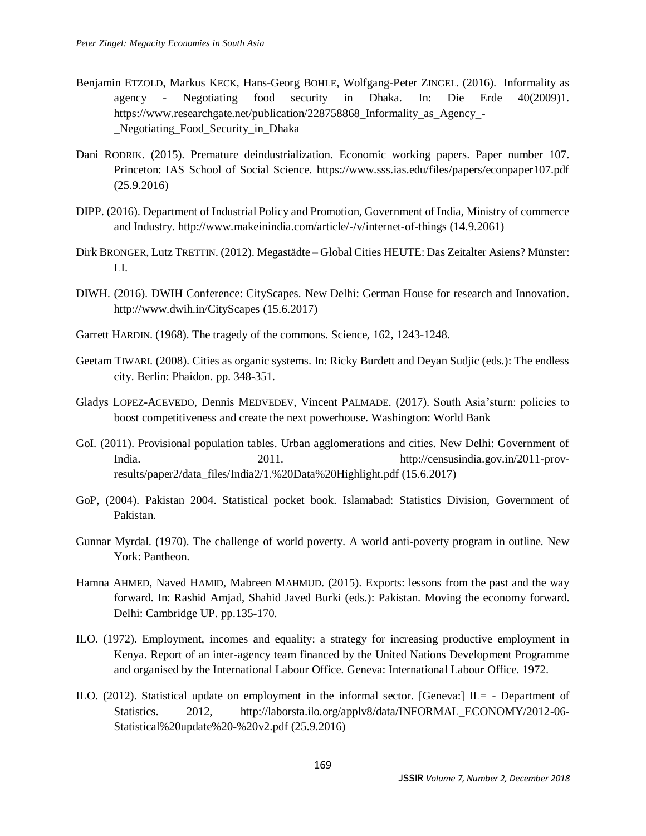- Benjamin ETZOLD, Markus KECK, Hans-Georg BOHLE, Wolfgang-Peter ZINGEL. (2016). Informality as agency - Negotiating food security in Dhaka. In: Die Erde 40(2009)1. https://www.researchgate.net/publication/228758868 Informality as Agency-Negotiating Food Security in Dhaka
- Dani RODRIK. (2015). Premature deindustrialization. Economic working papers. Paper number 107. Princeton: IAS School of Social Science. https://www.sss.ias.edu/files/papers/econpaper107.pdf (25.9.2016)
- DIPP. (2016). Department of Industrial Policy and Promotion, Government of India, Ministry of commerce and Industry. http://www.makeinindia.com/article/-/v/internet-of-things (14.9.2061)
- Dirk BRONGER, Lutz TRETTIN. (2012). Megastädte Global Cities HEUTE: Das Zeitalter Asiens? Münster: LI.
- DIWH. (2016). DWIH Conference: CityScapes. New Delhi: German House for research and Innovation. http://www.dwih.in/CityScapes (15.6.2017)
- Garrett HARDIN. (1968). The tragedy of the commons. Science, 162, 1243-1248.
- Geetam TIWARI. (2008). Cities as organic systems. In: Ricky Burdett and Deyan Sudjic (eds.): The endless city. Berlin: Phaidon. pp. 348-351.
- Gladys LOPEZ-ACEVEDO, Dennis MEDVEDEV, Vincent PALMADE. (2017). South Asia'sturn: policies to boost competitiveness and create the next powerhouse. Washington: World Bank
- GoI. (2011). Provisional population tables. Urban agglomerations and cities. New Delhi: Government of India. 2011. 2011. http://censusindia.gov.in/2011-provresults/paper2/data\_files/India2/1.%20Data%20Highlight.pdf (15.6.2017)
- GoP, (2004). Pakistan 2004. Statistical pocket book. Islamabad: Statistics Division, Government of Pakistan.
- Gunnar Myrdal. (1970). The challenge of world poverty. A world anti-poverty program in outline. New York: Pantheon.
- Hamna AHMED, Naved HAMID, Mabreen MAHMUD. (2015). Exports: lessons from the past and the way forward. In: Rashid Amjad, Shahid Javed Burki (eds.): Pakistan. Moving the economy forward. Delhi: Cambridge UP. pp.135-170.
- ILO. (1972). Employment, incomes and equality: a strategy for increasing productive employment in Kenya. Report of an inter-agency team financed by the United Nations Development Programme and organised by the International Labour Office. Geneva: International Labour Office. 1972.
- ILO. (2012). Statistical update on employment in the informal sector. [Geneva:] IL= Department of Statistics. 2012, http://laborsta.ilo.org/applv8/data/INFORMAL\_ECONOMY/2012-06- Statistical%20update%20-%20v2.pdf (25.9.2016)